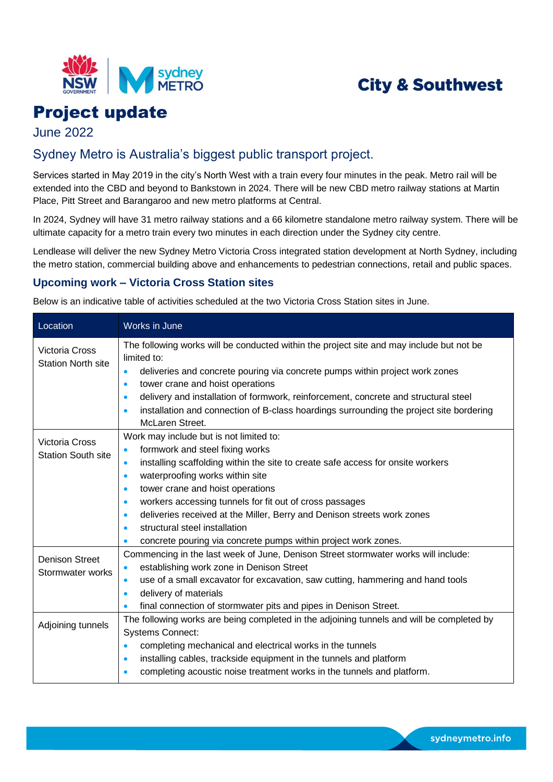

# **City & Southwest**

# Project update

June 2022

## Sydney Metro is Australia's biggest public transport project.

Services started in May 2019 in the city's North West with a train every four minutes in the peak. Metro rail will be extended into the CBD and beyond to Bankstown in 2024. There will be new CBD metro railway stations at Martin Place, Pitt Street and Barangaroo and new metro platforms at Central.

In 2024, Sydney will have 31 metro railway stations and a 66 kilometre standalone metro railway system. There will be ultimate capacity for a metro train every two minutes in each direction under the Sydney city centre.

Lendlease will deliver the new Sydney Metro Victoria Cross integrated station development at North Sydney, including the metro station, commercial building above and enhancements to pedestrian connections, retail and public spaces.

### **Upcoming work – Victoria Cross Station sites**

Below is an indicative table of activities scheduled at the two Victoria Cross Station sites in June.

| Location                                           | Works in June                                                                                                                                                                                                                                                                                                                                             |
|----------------------------------------------------|-----------------------------------------------------------------------------------------------------------------------------------------------------------------------------------------------------------------------------------------------------------------------------------------------------------------------------------------------------------|
| <b>Victoria Cross</b><br><b>Station North site</b> | The following works will be conducted within the project site and may include but not be<br>limited to:<br>deliveries and concrete pouring via concrete pumps within project work zones<br>$\bullet$<br>tower crane and hoist operations<br>$\bullet$<br>delivery and installation of formwork, reinforcement, concrete and structural steel<br>$\bullet$ |
|                                                    | installation and connection of B-class hoardings surrounding the project site bordering<br>$\bullet$<br>McLaren Street.                                                                                                                                                                                                                                   |
| <b>Victoria Cross</b><br><b>Station South site</b> | Work may include but is not limited to:<br>formwork and steel fixing works<br>$\bullet$                                                                                                                                                                                                                                                                   |
|                                                    | installing scaffolding within the site to create safe access for onsite workers<br>$\bullet$<br>waterproofing works within site<br>$\bullet$<br>tower crane and hoist operations<br>$\bullet$                                                                                                                                                             |
|                                                    | workers accessing tunnels for fit out of cross passages<br>$\bullet$<br>deliveries received at the Miller, Berry and Denison streets work zones<br>$\bullet$                                                                                                                                                                                              |
|                                                    | structural steel installation<br>$\bullet$<br>concrete pouring via concrete pumps within project work zones.<br>$\bullet$                                                                                                                                                                                                                                 |
| <b>Denison Street</b><br>Stormwater works          | Commencing in the last week of June, Denison Street stormwater works will include:<br>establishing work zone in Denison Street<br>$\bullet$                                                                                                                                                                                                               |
|                                                    | use of a small excavator for excavation, saw cutting, hammering and hand tools<br>$\bullet$<br>delivery of materials<br>$\bullet$                                                                                                                                                                                                                         |
| Adjoining tunnels                                  | final connection of stormwater pits and pipes in Denison Street.<br>The following works are being completed in the adjoining tunnels and will be completed by<br><b>Systems Connect:</b>                                                                                                                                                                  |
|                                                    | completing mechanical and electrical works in the tunnels<br>$\bullet$<br>installing cables, trackside equipment in the tunnels and platform<br>$\bullet$                                                                                                                                                                                                 |
|                                                    | completing acoustic noise treatment works in the tunnels and platform.<br>$\bullet$                                                                                                                                                                                                                                                                       |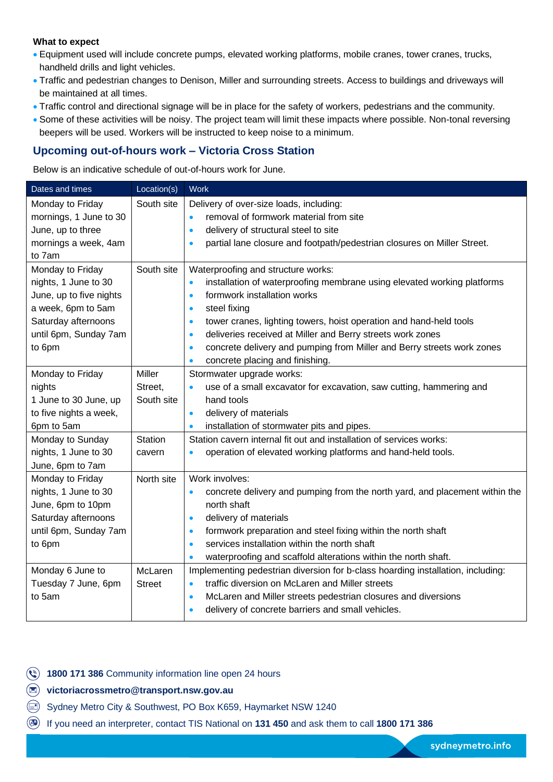#### **What to expect**

- Equipment used will include concrete pumps, elevated working platforms, mobile cranes, tower cranes, trucks, handheld drills and light vehicles.
- Traffic and pedestrian changes to Denison, Miller and surrounding streets. Access to buildings and driveways will be maintained at all times.
- Traffic control and directional signage will be in place for the safety of workers, pedestrians and the community.
- Some of these activities will be noisy. The project team will limit these impacts where possible. Non-tonal reversing beepers will be used. Workers will be instructed to keep noise to a minimum.

### **Upcoming out-of-hours work – Victoria Cross Station**

Below is an indicative schedule of out-of-hours work for June.

| Dates and times         | Location(s)    | <b>Work</b>                                                                              |
|-------------------------|----------------|------------------------------------------------------------------------------------------|
| Monday to Friday        | South site     | Delivery of over-size loads, including:                                                  |
| mornings, 1 June to 30  |                | removal of formwork material from site<br>$\bullet$                                      |
| June, up to three       |                | delivery of structural steel to site<br>$\bullet$                                        |
| mornings a week, 4am    |                | partial lane closure and footpath/pedestrian closures on Miller Street.<br>$\bullet$     |
| to 7am                  |                |                                                                                          |
| Monday to Friday        | South site     | Waterproofing and structure works:                                                       |
| nights, 1 June to 30    |                | installation of waterproofing membrane using elevated working platforms<br>$\bullet$     |
| June, up to five nights |                | formwork installation works<br>$\bullet$                                                 |
| a week, 6pm to 5am      |                | steel fixing<br>$\bullet$                                                                |
| Saturday afternoons     |                | tower cranes, lighting towers, hoist operation and hand-held tools<br>$\bullet$          |
| until 6pm, Sunday 7am   |                | deliveries received at Miller and Berry streets work zones<br>$\bullet$                  |
| to 6pm                  |                | concrete delivery and pumping from Miller and Berry streets work zones<br>$\bullet$      |
|                         |                | concrete placing and finishing.<br>$\bullet$                                             |
| Monday to Friday        | <b>Miller</b>  | Stormwater upgrade works:                                                                |
| nights                  | Street,        | use of a small excavator for excavation, saw cutting, hammering and<br>$\bullet$         |
| 1 June to 30 June, up   | South site     | hand tools                                                                               |
| to five nights a week,  |                | delivery of materials<br>$\bullet$                                                       |
| 6pm to 5am              |                | installation of stormwater pits and pipes.<br>$\bullet$                                  |
| Monday to Sunday        | <b>Station</b> | Station cavern internal fit out and installation of services works:                      |
| nights, 1 June to 30    | cavern         | operation of elevated working platforms and hand-held tools.<br>$\bullet$                |
| June, 6pm to 7am        |                |                                                                                          |
| Monday to Friday        | North site     | Work involves:                                                                           |
| nights, 1 June to 30    |                | concrete delivery and pumping from the north yard, and placement within the<br>$\bullet$ |
| June, 6pm to 10pm       |                | north shaft                                                                              |
| Saturday afternoons     |                | delivery of materials<br>$\bullet$                                                       |
| until 6pm, Sunday 7am   |                | formwork preparation and steel fixing within the north shaft<br>$\bullet$                |
| to 6pm                  |                | services installation within the north shaft<br>$\bullet$                                |
|                         |                | waterproofing and scaffold alterations within the north shaft.<br>$\bullet$              |
| Monday 6 June to        | McLaren        | Implementing pedestrian diversion for b-class hoarding installation, including:          |
| Tuesday 7 June, 6pm     | <b>Street</b>  | traffic diversion on McLaren and Miller streets<br>$\bullet$                             |
| to 5am                  |                | McLaren and Miller streets pedestrian closures and diversions<br>$\bullet$               |
|                         |                | delivery of concrete barriers and small vehicles.<br>$\bullet$                           |

**(4) 1800 171 386** Community information line open 24 hours

**victoriacrossmetro@transport.nsw.gov.au**

- $\textcircled{\scriptsize{1}}$ Sydney Metro City & Southwest, PO Box K659, Haymarket NSW 1240
- If you need an interpreter, contact TIS National on **131 450** and ask them to call **1800 171 386**